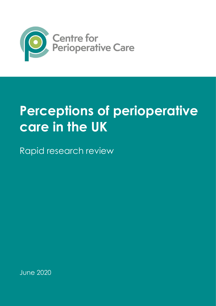

## **Perceptions of perioperative care in the UK**

Rapid research review

June 2020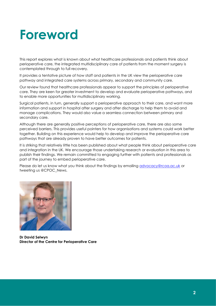## **Foreword**

This report explores what is known about what healthcare professionals and patients think about perioperative care, the integrated multidisciplinary care of patients from the moment surgery is contemplated through to full recovery.

It provides a tentative picture of how staff and patients in the UK view the perioperative care pathway and integrated care systems across primary, secondary and community care.

Our review found that healthcare professionals appear to support the principles of perioperative care. They are keen for greater investment to develop and evaluate perioperative pathways, and to enable more opportunities for multidisciplinary working.

Surgical patients, in turn, generally support a perioperative approach to their care, and want more information and support in hospital after surgery and after discharge to help them to avoid and manage complications. They would also value a seamless connection between primary and secondary care.

Although there are generally positive perceptions of perioperative care, there are also some perceived barriers. This provides useful pointers for how organisations and systems could work better together. Building on this experience would help to develop and improve the perioperative care pathways that are already proven to have better outcomes for patients.

It is striking that relatively little has been published about what people think about perioperative care and integration in the UK. We encourage those undertaking research or evaluation in this area to publish their findings. We remain committed to engaging further with patients and professionals as part of the journey to embed perioperative care.

Please do let us know what you think about the findings by emailing [advocacy@rcoa.ac.uk](mailto:advocacy@rcoa.ac.uk) or tweeting us @CPOC\_News.



**Dr David Selwyn Director of the Centre for Perioperative Care**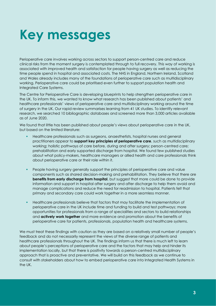# **Key messages**

Perioperative care involves working across sectors to support person-centred care and reduce clinical risks from the moment surgery is contemplated through to full recovery. This way of working is associated with improved health and satisfaction for people having surgery as well as reducing the time people spend in hospital and associated costs. The NHS in England, Northern Ireland, Scotland and Wales already includes many of the foundations of perioperative care such as multidisciplinary working. Perioperative care could be prioritised even further to support population health and Integrated Care Systems.

The Centre for Perioperative Care is developing blueprints to help strengthen perioperative care in the UK. To inform this, we wanted to know what research has been published about patients' and healthcare professionals' views of perioperative care and multidisciplinary working around the time of surgery in the UK. Our rapid review summarises learning from 41 UK studies. To identify relevant research, we searched 10 bibliographic databases and screened more than 3,000 articles available as of June 2020.

We found that little has been published about people's views about perioperative care in the UK, but based on the limited literature:

- Healthcare professionals such as surgeons, anaesthetists, hospital nurses and general practitioners appear to **support key principles of perioperative care**, such as multidisciplinary working; holistic pathways of care before, during and after surgery; person-centred care; prehabilitation and early supported discharge from hospital. We found few published studies about what policy-makers, healthcare managers or allied health and care professionals think about perioperative care or their role within it.
- People having surgery generally support the principles of perioperative care and value components such as shared decision-making and prehabilitation. They believe that there are **benefits from early discharge from hospital**, but suggest that more could be done to provide information and support in hospital after surgery and after discharge to help them avoid and manage complications and reduce the need for readmission to hospital. Patients felt that primary and secondary care could work together in a more seamless manner.
- Healthcare professionals believe that factors that may facilitate the implementation of perioperative care in the UK include time and funding to build and test pathways; more opportunities for professionals from a range of specialities and sectors to build relationships and **actively work together** and more evidence and promotion about the benefits of perioperative care for patients, professionals, population health and healthcare systems.

We must treat these findings with caution as they are based on a relatively small number of people's feedback and do not necessarily represent the views of the diverse range of patients and healthcare professionals throughout the UK. The findings inform us that there is much left to learn about people's perceptions of perioperative care and the factors that may help and hinder its implementation locally, but that there is positivity towards a person-centred multidisciplinary approach that is proactive and preventative. We will build on this feedback as we continue to consult with stakeholders about how to embed perioperative care into Integrated Health Systems in the UK.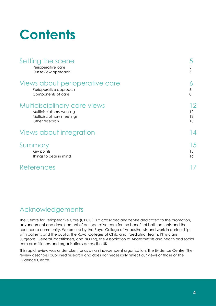## **Contents**

| Setting the scene<br>Perioperative care<br>Our review approach                                            | $\sqrt{5}$<br>5     |
|-----------------------------------------------------------------------------------------------------------|---------------------|
| Views about perioperative care<br>Perioperative approach<br>Components of care                            | 6<br>8              |
| Multidisciplinary care views<br>Multidisciplinary working<br>Multidisciplinary meetings<br>Other research | 2<br>12<br>13<br>13 |
| Views about integration                                                                                   | 14                  |
| Summary<br>Key points<br>Things to bear in mind                                                           | 15<br>15<br>16      |
| <b>References</b>                                                                                         |                     |

### Acknowledgements

The Centre for Perioperative Care (CPOC) is a cross-specialty centre dedicated to the promotion, advancement and development of perioperative care for the benefit of both patients and the healthcare community. We are led by the Royal College of Anaesthetists and work in partnership with patients and the public, the Royal Colleges of Child and Paediatric Health, Physicians, Surgeons, General Practitioners, and Nursing, the Association of Anaesthetists and health and social care practitioners and organisations across the UK.

This rapid review was undertaken for us by an independent organisation, The Evidence Centre. The review describes published research and does not necessarily reflect our views or those of The Evidence Centre.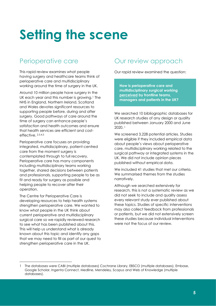# **Setting the scene**

## Perioperative care

This rapid review examines what people having surgery and healthcare teams think of perioperative care and multidisciplinary working around the time of surgery in the UK.

Around 10 million people have surgery in the UK each year and this number is growing. <sup>1</sup> The NHS in England, Northern Ireland, Scotland and Wales devotes significant resources to supporting people before, during and after surgery. Good pathways of care around the time of surgery can enhance people's satisfaction and health outcomes and ensure that health services are efficient and costeffective. 2,3,4,5

Perioperative care focuses on providing integrated, multidisciplinary, patient-centred care from the moment surgery is contemplated through to full recovery. Perioperative care has many components including multidisciplinary teams working together, shared decisions between patients and professionals, supporting people to be as fit and ready for surgery as possible and helping people to recover after their operation.

The Centre for Perioperative Care is developing resources to help health systems strengthen perioperative care. We wanted to know what people in the UK think about current perioperative and multidisciplinary surgical care so we rapidly reviewed research to see what has been published about this. This will help us understand what is already known about this topic and identify any gaps that we may need to fill as part of our quest to strengthen perioperative care in the UK.

### Our review approach

Our rapid review examined the question:

**How is perioperative care and multidisciplinary surgical working perceived by frontline teams, managers and patients in the UK?** 

We searched 10 bibliographic databases for UK research studies of any design or quality published between January 2000 and June 2020. <sup>1</sup>

We screened 3,228 potential articles. Studies were eligible if they included empirical data about people's views about perioperative care, multidisciplinary working related to the surgical pathway or integrated systems in the UK. We did not include opinion pieces published without empirical data.

We included 41 studies that met our criteria. We summarised themes from the studies narratively.

Although we searched extensively for research, this is not a systematic review as we did not seek to include and quality assess every relevant study ever published about these topics. Studies of specific interventions may also collect feedback from professionals or patients, but we did not extensively screen these studies because individual interventions were not the focus of our review.

<sup>1</sup> The databases were CABI (multiple databases) Cochrane Library, EBSCO (multiple databases), Embase, Google Scholar, Ingenta Connect, Medline, Mendeley, Scopus and Web of Knowledge (multiple databases).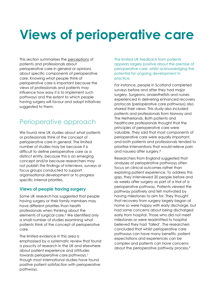## **Views of perioperative care**

This section summarises the perceptions of patients and professionals about perioperative care in general or opinions about specific components of perioperative care. Knowing what people think of perioperative care is important because the views of professionals and patients may influence how easy it is to implement such pathways and the extent to which people having surgery will favour and adopt initiatives suggested to them.

## Perioperative approach

We found nine UK studies about what patients or professionals think of the concept of perioperative care in general. The limited number of studies may be because it is difficult to define perioperative care as a distinct entity, because this is an emerging concept and/or because researchers may not publish the findings of interviews, surveys or focus groups conducted to support organisational development or to progress specific internal priorities.

#### **Views of people having surgery**

Some UK research has suggested that people having surgery or their family members may have different priorities than health professionals when thinking about the elements of surgical care.<sup>6</sup> We identified only a small number of studies examining what patients think of the concept of perioperative care.

The limited evidence in this area is emphasised by a systematic review that found a paucity of research in the UK and elsewhere about patient experience and attitudes towards perioperative care pathways,<sup>7</sup> though most international studies have found positive patient satisfaction with perioperative pathways.

The limited UK feedback from patients appears largely positive about the premise of perioperative care, whilst acknowledging the potential for ongoing development in practice.

For instance, people in Scotland completed surveys before and after they had major surgery. Surgeons, anaesthetists and nurses experienced in delivering enhanced recovery protocols (perioperative care pathways) also shared their views. This study also included patients and professionals from Norway and The Netherlands. Both patients and healthcare professionals thought that the principles of perioperative care were valuable. They said that most components of perioperative care were equally important, and both patients and professionals tended to prioritise interventions that would relieve pain and nausea after surgery.<sup>8</sup>

Researchers from England suggested that analyses of perioperative pathways often focus on clinical outcomes rather than exploring patient experience. To address this gap, they interviewed 20 people before and six weeks after surgery as part of a trial of a perioperative pathway. Patients viewed the pathway positively and felt motivated by having milestones to aim for. They thought that recovery from surgery largely began at home so were happy with early discharge, but had some concerns about being discharged early from hospital. Those who did not meet milestones or were readmitted to hospital believed they had 'failed'. The researchers concluded that whilst perioperative care pathways can have many benefits, patient expectations and experiences can be complex and patients can have concerns about the perioperative pathway process.<sup>9</sup>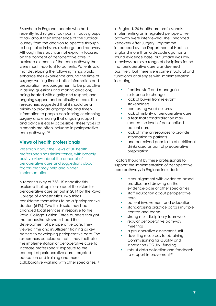Elsewhere in England, people who had recently had surgery took part in focus groups to talk about their experience of the surgical journey from the decision to operate through to hospital admission, discharge and recovery. Although this study was not explicitly focused on the concept of perioperative care, it explored elements of the care pathway that were most important to patients. Patients said that developing the following things would enhance their experience around the time of surgery: waiting times; better information and preparation; encouragement to be proactive in asking questions and making decisions; being treated with dignity and respect; and ongoing support and continuity of care. The researchers suggested that it should be a priority to provide appropriate and timely information to people considering or planning surgery and ensuring that ongoing support and advice is easily accessible. These types of elements are often included in perioperative care pathways.<sup>10</sup>

#### **Views of health professionals**

Research about the views of UK health professionals has similar trends, with broadly positive views about the concept of perioperative care and suggestions about factors that may help and hinder implementation.

A recent survey of 758 UK anaesthetists explored their opinions about the vision for perioperative care set out in 2014 by the Royal College of Anaesthetists. Two thirds considered themselves to be a 'perioperative doctor' (64%). Two thirds said they had changed local services in response to the Royal College's vision. Three quarters thought that anaesthetists should lead the development of perioperative care. They viewed time and insufficient training as key barriers to developing perioperative care. The researchers concluded that it may facilitate the implementation of perioperative care to increase professionals' exposure to the concept of perioperative care, targeted education and training and more collaborative working with other specialties.<sup>11</sup>

In England, 26 healthcare professionals implementing an integrated perioperative pathway were interviewed. The Enhanced Recovery After Surgery Programme introduced by the Department of Health in England more than a decade ago has a sound evidence base, but uptake was low. Interviews across a range of disciplines found that perioperative care was deemed positively, but there were some structural and functional challenges with implementation including:

- **•** frontline staff and managerial resistance to change
- lack of buy-in from relevant stakeholders
- contrasting ward cultures
- lack of visibility of perioperative care
- a fear that standardisation may reduce the level of personalised patient care
- lack of time or resources to provide information to patients
- and perceived poor taste of nutritional drinks used as part of preoperative preparation

Factors thought by these professionals to support the implementation of perioperative care pathways in England included:

- clear alignment with evidence-based practice and drawing on the evidence-base of other specialities
- staff education about perioperative care
- patient involvement and education
- standardising practice across multiple centres and teams
- strong multidisciplinary teamwork
- regular perioperative pathway meetings
- a pre-operative assessment unit
- devoting resources to obtaining Commissioning for Quality and Innovation (CQUIN) funding
- robust data collection and feedback to support improvement<sup>12</sup>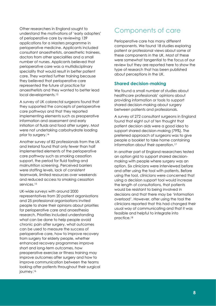Other researchers in England sought to understand the motivations of 'early adopters' of perioperative care by reviewing 139 applications for a Masters programme in perioperative medicine. Applicants included consultant anaesthetists, anaesthetic trainees, doctors from other specialities and a small number of nurses. Applicants believed that perioperative care was a multidisciplinary speciality that would result in better patient care. They wanted further training because they believed that perioperative care represented the future of practice for anaesthetists and they wanted to better lead local developments.<sup>13</sup>

A survey of UK colorectal surgeons found that they supported the concepts of perioperative care pathways and that they reported implementing elements such as preoperative information and assessment and early initiation of fluids and food after surgery. Most were not undertaking carbohydrate loading prior to surgery.<sup>14</sup>

Another survey of 82 professionals from the UK and Ireland found that only fewer than half implemented elements of the perioperative care pathway such as smoking cessation support, the period for fluid fasting and malnutrition screening. Perceived barriers were staffing levels, lack of consistent teamwork, limited resources over weekends and reduced access to smoking cessation services.<sup>15</sup>

UK-wide surveys with around 2000 representatives from 20 patient organisations and 25 professional organisations invited people to share their opinions about priorities for perioperative care and anaesthesia research. Priorities included understanding what can be done to help people avoid chronic pain after surgery, what outcomes can be used to measure the success of perioperative care, how to improve recovery from surgery for elderly people, whether enhanced recovery programmes improve short and long-term outcomes, how preoperative exercise or fitness training may improve outcomes after surgery and how to improve communication between the teams looking after patients throughout their surgical journey.<sup>16</sup>

### Components of care

Perioperative care has many different components. We found 18 studies exploring patient or professional views about some of these components in the UK. Most of these were somewhat tangential to the focus of our review but they are reported here to show the type of research that has been published about perceptions in the UK.

#### **Shared decision-making**

We found a small number of studies about healthcare professionals' opinions about providing information or tools to support shared decision-making about surgery between patients and professionals.

A survey of 272 consultant surgeons in England found that eight out of ten thought that patient decision aids were a good idea to support shared decision-making (79%). The preferred approach of surgeons was to give people a booklet to take home containing information about their operation.<sup>17</sup>

In another part of England researchers tested an option grid to support shared decisionmaking with people where surgery was an option. Six clinicians were interviewed before and after using the tool with patients. Before using the tool, clinicians were concerned that using a decision support tool would increase the length of consultations, that patients would be resistant to being involved in decisions and that there may be 'information overload'. However, after using the tool the clinicians reported that this had changed their usual way of communicating and that it was feasible and helpful to integrate into practice.18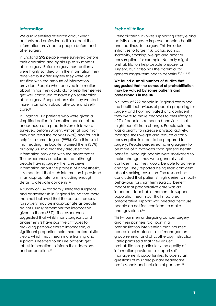#### **Information**

We also identified research about what patients and professionals think about the information provided to people before and after surgery.

In England 292 people were surveyed before their operation and again up to six months after surgery. Before surgery most patients were highly satisfied with the information they received but after surgery they were less satisfied with the amount of information provided. People who received information about things they could do to help themselves get well continued to have high satisfaction after surgery. People often said they wanted more information about aftercare and selfcare.<sup>19</sup>

In England 103 patients who were given a simplified patient information booklet about anaesthesia at a preadmission clinic were surveyed before surgery. Almost all said that they had read the booklet (96%) and found it helpful to some degree (99%). One third said that reading the booklet worried them (35%), but only 3% said that they discussed the information provided with the anaesthetist. The researchers concluded that although people having surgery like to receive information about the process of anaesthesia, it is important that such information is provided in an appropriate form, including enough detail to alleviate concerns.<sup>20</sup>

A survey of 134 randomly selected surgeons and anaesthetists in England found that more than half believed that the consent process for surgery may be inappropriate as people do not usually remember the information given to them (55%). The researchers suggested that whilst many surgeons and anaesthetists have positive attitudes to providing person-centred information, a significant proportion hold more paternalistic views, which may mean more training and support is needed to ensure patients get robust information to inform their decisions and preparation. 21

#### **Prehabilitation**

Prehabilitation involves supporting lifestyle and activity changes to improve people's health and readiness for surgery. This includes initiatives to target risk factors such as inactivity, smoking, weight and alcohol consumption, for example. Not only might prehabilitation help people prepare for surgery, but it also has the potential for general longer-term health benefits.22,23,24,25

#### **We found a small number of studies that suggested that the concept of prehabilitation may be valued by some patients and professionals in the UK.**

A survey of 299 people in England examined the health behaviours of people preparing for surgery and how motivated and confident they were to make changes to their lifestyles. 42% of people had health behaviours that might benefit from change. People said that it was a priority to increase physical activity, manage their weight and reduce alcohol consumption in order to be prepared for surgery. People perceived having surgery to be more of a motivator than general health benefits. Although people were motivated to make change, they were generally not confident that they would be able to achieve change. They reported being least confident about smoking cessation. The researchers concluded that patients' high desire to modify behaviours for short term surgical benefit meant that preoperative care was an important 'teachable moment' to support population health but that structured preoperative support was needed because people do not feel confident to make changes alone. 26

Thirty-four men undergoing cancer surgery and their partners took part in a prehabilitation intervention that included educational material, a self-management group seminar and physiotherapy instruction. Participants said that they valued prehabilitation, particularly the quality of information provided to support selfmanagement, opportunities to openly ask questions of multidisciplinary healthcare professionals and inclusion of partners.27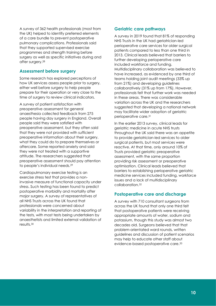A survey of 362 health professionals (most from the UK) helped to identify preferred elements of a care bundle to prevent postoperative pulmonary complications. Professionals said that they supported supervised exercise programmes and strength training before surgery as well as specific initiatives during and after surgery.<sup>28</sup>

#### **Assessment before surgery**

Some research has explored perceptions of how UK services assess people prior to surgery, either well before surgery to help people prepare for their operation or very close to the time of surgery to review clinical indicators.

A survey of patient satisfaction with preoperative assessment for general anaesthesia collected feedback from 275 people having day surgery in England. Overall people said they were satisfied with preoperative assessment, but they often said that they were not provided with sufficient preoperative information about their surgery, what they could do to prepare themselves or aftercare. Some reported anxiety and said they were not treated with a supportive attitude. The researchers suggested that preoperative assessment should pay attention to people's individual needs.<sup>29</sup>

Cardiopulmonary exercise testing is an exercise stress test that provides a noninvasive measure of functional capacity under stress. Such testing has been found to predict postoperative morbidity and mortality after major surgery. A survey of representatives of all NHS Trusts across the UK found that professionals were concerned about variability in the interpretation and reporting of the tests, with most tests being undertaken by anaesthetists and limited external validation of results.<sup>30</sup>

#### **Geriatric care pathways**

A survey in 2019 found that 81% of responding NHS Trusts in the UK had geriatrician-led perioperative care services for older surgical patients compared to less than one third in 2013. Clinical leads believed that barriers to further developing perioperative care included workforce and funding. Multidisciplinary collaboration was believed to have increased, as evidenced by one third of teams holding joint audit meetings (33% up from 21%) and developing guidelines collaboratively (31% up from 17%). However, professionals felt that further work was needed in these areas. There was considerable variation across the UK and the researchers suggested that developing a national network may facilitate wider adoption of geriatric perioperative care.<sup>31</sup>

In the earlier 2013 survey, clinical leads for geriatric medicine in acute NHS trusts throughout the UK said there was an appetite to provide geriatrician-led services to older surgical patients, but most services were reactive. At that time, only around 10% of Trusts provided geriatric preoperative assessment, with the same proportion providing risk assessment or preoperative optimisation. Clinical leads believed that barriers to establishing perioperative geriatric medicine services included funding, workforce issues and a lack of multidisciplinary collaboration.<sup>32</sup>

#### **Postoperative care and discharge**

A survey with 710 consultant surgeons from across the UK found that only one third felt that postoperative patients were receiving appropriate amounts of water, sodium and potassium, though this study was almost two decades old. Surgeons believed that that problem-orientated ward rounds, written guidelines and discussion of patient scenarios may help to educate other staff about evidence-based postoperative care.33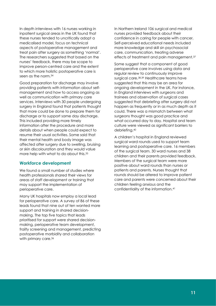In depth interviews with 16 nurses working in inpatient surgical areas in the UK found that these nurses tended to uncritically adopt a medicalised model, focus on technical aspects of postoperative management and treat pain after surgery as something 'normal'. The researchers suggested that based on the nurses' feedback, there may be scope to improve person-centred care and the extent to which more holistic postoperative care is seen as the norm.<sup>34</sup>

Good preparation for discharge may involve providing patients with information about selfmanagement and how to access ongoing as well as communication with primary care services. Interviews with 30 people undergoing surgery in England found that patients thought that more could be done to prepare them for discharge or to support same day discharge. This included providing more timely information after the procedure and more details about when people could expect to resume their usual activities. Some said that their mental health and body image was affected after surgery due to swelling, bruising or skin discolouration and they would value more help with what to do about this.<sup>35</sup>

#### **Workforce development**

We found a small number of studies where health professionals shared their views for areas of staff development or training that may support the implementation of perioperative care.

Many UK hospitals now employ a local lead for perioperative care. A survey of 86 of these leads found that nine out of ten wanted more support and training in shared decisionmaking. The top five topics that leads prioritised for support were shared decisionmaking, perioperative team development, frailty screening and management, predicting postoperative morbidity and collaboration with primary care.<sup>36</sup>

In Northern Ireland 106 surgical and medical nurses provided feedback about their confidence in caring for people with cancer. Self-perceived educational needs included more knowledge and skill sin psychosocial care, communication, treating adverse effects of treatment and pain management.<sup>37</sup>

Some suggest that a component of good perioperative care involves using data and regular review to continuously improve surgical care.<sup>38,39</sup> Healthcare teams have suggested that this may be an area for ongoing development in the UK. For instance, in England interviews with surgeons and trainees and observation of surgical cases suggested that debriefing after surgery did not happen as frequently or in as much depth as it could. There was a mismatch between what surgeons thought was good practice and what occurred day to day. Hospital and team culture were viewed as significant barriers to debriefing.<sup>40</sup>

A children's hospital in England reviewed surgical ward rounds used to support team learning and postoperative care. 16 members of the surgical team. 30 ward nurses and 38 children and their parents provided feedback. Members of the surgical team were more positive about ward rounds than nurses or patients and parents. Nurses thought that rounds should be altered to improve patient care and parents were concerned about their children feeling anxious and the confidentiality of the information.41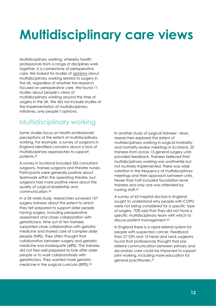# **Multidisciplinary care views**

Multidisciplinary working, whereby health professionals from a range of disciplines work together, is a cornerstone of perioperative care. We looked for studies of opinions about multidisciplinary working related to surgery in the UK, regardless of whether the research focused on perioperative care. We found 11 studies about people's views of multidisciplinary working around the time of surgery in the UK. We did not include studies of the implementation of multidisciplinary initiatives, only people's opinions.

### Multidisciplinary working

Some studies focus on health professionals' perceptions of the extent of multidisciplinary working. For example, a survey of surgeons in England identified concerns about a lack of multidisciplinary approaches to support patients. 42

A survey in Scotland included 352 consultant surgeons, trainee surgeons and theatre nurses. Participants were generally positive about teamwork within the operating theatre, but surgeons had more positive views about the quality of surgical leadership and communication. 43

In a UK-wide study, researchers surveyed 157 surgery trainees about the extent to which they felt prepared to support older people having surgery, including preoperative assessment and closer collaboration with geriatricians. Nine out of ten trainees supported close collaboration with geriatric medicine and shared care of complex older people (94%). They often thought that collaboration between surgery and geriatric medicine was inadequate (68%). The trainees did not feel well prepared to look after older people or to work collaboratively with geriatricians. They wanted more geriatric medicine in the surgical curricula (89%).<sup>44</sup>

In another study of surgical trainees' views, researchers explored the extent of multidisciplinary working in surgical morbidity and mortality review meetings in Scotland. 25 trainees from across 15 general surgery units provided feedback. Trainees believed that multidisciplinary working was worthwhile but not routinely implemented. There was wide variation in the frequency of multidisciplinary meetings and their approach between units. Fewer than half included foundation-level trainees and only one was attended by nursing staff.<sup>45</sup>

A survey of 65 hospital doctors in England sought to understand why people with COPD were not being considered for a specific type of surgery. 70% said that they did not have a specific multidisciplinary team with which to discuss patient management.<sup>46</sup>

In England there is a rapid referral system for people with suspected cancer. Feedback from 27 GPs and 15 head and neck surgeons found that professionals thought that prereferral communication between primary and secondary care could be improved to support joint working, including more education for general practitioners.47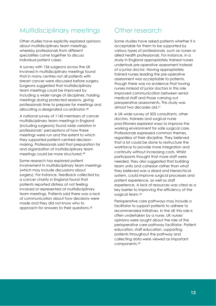### Multidisciplinary meetings

Other studies have explicitly explored opinions about multidisciplinary team meetings, whereby professionals from different specialities come together to discuss individual patient cases.

A survey with 136 surgeons across the UK involved in multidisciplinary meetings found that in many centres not all patients with breast cancer were discussed before surgery. Surgeons suggested that multidisciplinary team meetings could be improved by including a wider range of disciplines, holding meetings during protected sessions, giving professionals time to prepare for meetings and allocating a designated co-ordinator. 48

A national survey of 1145 members of cancer multidisciplinary team meetings in England (including surgeons) found wide variation in professionals' perceptions of how these meetings were run and the extent to which they supported patient-centred decisionmaking. Professionals said that preparation for and organisation of multidisciplinary team meetings could be more structured.<sup>49</sup>

Some research has explored patient involvement in multidisciplinary team meetings (which may include discussions about surgery). For instance, feedback collected by a cancer charity in England found that patients reported distress at not feeling involved or represented at multidisciplinary team meetings. Patients said there was a lack of communication about how decisions were made and they did not know who to approach for answers to their questions.<sup>50</sup>

### Other research

Some studies have asked patients whether it is acceptable for them to be supported by various types of professionals, such as nurses or allied health professionals. For instance, in a study in England appropriately trained nurses undertook pre-operative assessment instead of a junior doctor. Having appropriately trained nurses leading the pre-operative assessment was acceptable to patients, though there was no evidence that having nurses instead of junior doctors in this role improved communication between senior medical staff and those carrying out preoperative assessments. This study was almost two decades old.<sup>51</sup>

A UK-wide survey of 505 consultants, other doctors, trainees and surgical nurse practitioners explored ways to improve the working environment for safe surgical care. Professionals expressed common themes, regardless of their discipline. They believed that a lot could be done to restructure the workforce to provide more integration and continuity without increasing costs. Whilst participants thought that more staff were needed, they also suggested that building team unity and cohesion rather than what they believed was a siloed and hierarchical system, could improve surgical processes and patient experience, as well as staff experience. A lack of resources was cited as a key barrier to improving the efficiency of the surgical team.<sup>52</sup>

Perioperative care pathways may include a facilitator to support patients to adhere to recommended initiatives. In the UK this role is often undertaken by a nurse. UK nurses' opinions were sought about the role of the perioperative care pathway facilitator. Patient education, staff education, supporting patients throughout the pathway and collecting data were viewed as important components.53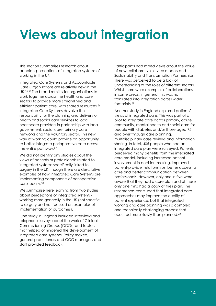## **Views about integration**

This section summarises research about people's perceptions of integrated systems of working in the UK.

Integrated Care Systems and Accountable Care Organisations are relatively new in the UK.54,55 The broad remit is for organisations to work together across the health and care sectors to provide more streamlined and efficient patient care, with shared resources. 56 Integrated Care Systems devolve the responsibility for the planning and delivery of health and social care services to local healthcare providers in partnership with local government, social care, primary care networks and the voluntary sector. This new way of working could provide an opportunity to better integrate perioperative care across the entire pathway.<sup>57</sup>

We did not identify any studies about the views of patients or professionals related to integrated systems specifically linked to surgery in the UK, though there are descriptive examples of how Integrated Care Systems are implementing components of perioperative care locally. 58

We summarise here learning from two studies about perceptions of integrated systemsworking more generally in the UK (not specific to surgery and not focused on examples of implementation or outcomes).

One study in England included interviews and telephone surveys about the work of Clinical Commissioning Groups (CCGs) and factors that helped or hindered the development of integrated care systems. Policy makers, general practitioners and CCG managers and staff provided feedback.

Participants had mixed views about the value of new collaborative service models and Sustainability and Transformation Partnerships. There was perceived to be a lack of understanding of the roles of different sectors. Whilst there were examples of collaborations in some areas, in general this was not translated into integration across wider footprints.<sup>59</sup>

Another study in England explored patients' views of integrated care. This was part of a pilot to integrate care across primary, acute, community, mental health and social care for people with diabetes and/or those aged 75 and over through care planning, multidisciplinary case reviews and information sharing. In total, 405 people who had an integrated care plan were surveyed. Patients perceived many benefits from the integrated care model, including increased patient involvement in decision-making, improved patient-provider relationships, better access to care and better communication between professionals. However, only one in five were aware that they had a care plan and of these only one third had a copy of their plan. The researchers concluded that integrated care approaches may improve the quality of patient experience, but that integrated working and care planning was a complex and technically challenging process that occurred more slowly than planned.<sup>60</sup>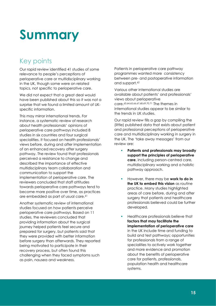## **Summary**

## Key points

Our rapid review identified 41 studies of some relevance to people's perceptions of perioperative care or multidisciplinary working in the UK, though some were on related topics, not specific to perioperative care.

We did not expect that a great deal would have been published about this so it was not a surprise that we found a limited amount of UKspecific information.

This may mirror international trends. For instance, a systematic review of research about health professionals' opinions of perioperative care pathways included 8 studies in six countries and four surgical specialities. It focused on health professionals' views before, during and after implementation of an enhanced recovery after surgery pathway. The review found that professionals perceived a resistance to change and described the importance of effective multidisciplinary team collaboration and communication to support the implementation of perioperative care. The reviewers concluded that staff attitudes towards perioperative care pathways tend to become more positive over time, as practices are embedded as part of usual care.<sup>61</sup>

Another systematic review of international studies focused on how patients perceive perioperative care pathways. Based on 11 studies, the reviewers concluded that providing information about the surgical journey helped patients feel secure and prepared for surgery, but patients said that they were provided with better information before surgery than afterwards. They reported being motivated to participate in their recovery process, but often found this challenging when they faced symptoms such as pain, nausea and weakness.

Patients in perioperative care pathway programmes wanted more consistency between pre- and postoperative information and support.<sup>62</sup>

Various other international studies are available about patients' and professionals' views about perioperative care. 63,64,65,66,67,68,69,70,71 The themes in international studies appear to be similar to the trends in UK studies.

Our rapid review fills a gap by compiling the (little) published data that exists about patient and professional perceptions of perioperative care and multidisciplinary working in surgery in the UK. The 'take away messages' from our review are:

- **Patients and professionals may broadly support the principles of perioperative care**, including person-centred care, multidisciplinary working and a holistic pathway approach.
- However, there may be **work to do in the UK to embed this vision** as routine practice. Many studies highlighted areas of care before, during and after surgery that patients and healthcare professionals believed could be further developed.
- Healthcare professionals believe that **factors that may facilitate the implementation of perioperative care**  in the UK include time and funding to build and test pathways; opportunities for professionals from a range of specialities to actively work together and more evidence and promotion about the benefits of perioperative care for patients, professionals, population health and healthcare systems.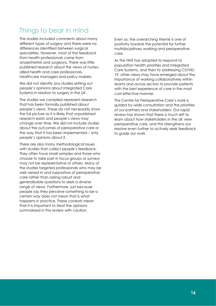### Things to bear in mind

The studies included comments about many different types of surgery and there were no differences identified between surgical specialities. However, most of the feedback from health professionals came from anaesthetists and surgeons. There was little published research about the views of nurses, allied health and care professionals, healthcare managers and policy makers.

We did not identify any studies setting out people's opinions about Integrated Care Systems in relation to surgery in the UK.

The studies we compiled represent research that has been formally published about people's views. These do not necessarily show the full picture as it is likely that unpublished research exists and people's views may change over time. We did not include studies about the outcomes of perioperative care or the way that it has been implemented – only people's opinions about it.

There are also many methodological issues with studies that collect people's feedback. They often have small samples and those who choose to take part in focus groups or surveys may not be representative of others. Many of the studies targeted professionals who may be well versed in and supportive of perioperative care rather than asking robust and generalisable questions to seek a diverse range of views. Furthermore, just because people say they perceive something to be a certain way does not mean that is what happens in practice. These caveats mean that it is important to treat the opinions summarised in this review with caution.

Even so, the overarching theme is one of positivity towards the potential for further multidisciplinary working and perioperative care.

As the NHS has adapted to respond to population health priorities and Integrated Care Systems, and then to addressing COVID-19, other views may have emerged about the importance of working collaboratively within teams and across sectors to provide patients with the best experience of care in the most cost-effective manner.

The Centre for Perioperative Care's work is guided by wide consultation and the priorities of our partners and stakeholders. Our rapid review has shown that there is much left to learn about how stakeholders in the UK view perioperative care, and this strengthens our resolve even further to actively seek feedback to guide our work.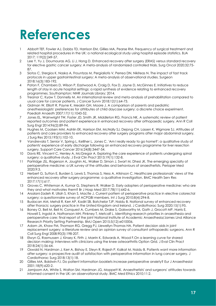## **References**

- 1 Abbott TEF, Fowler AJ, Dobbs TD, Harrison EM, Gillies MA, Pearse RM. Frequency of surgical treatment and related hospital procedures in the UK: a national ecological study using hospital episode statistics. BJA 2017; 119(2):249-57.
- 2 Lee Y, Yu J, Doumouras AG, Li J, Hong D. Enhanced recovery after surgery (ERAS) versus standard recovery for elective gastric cancer surgery: A meta-analysis of randomized controlled trials. Surg Oncol 2020;32:75- 87.
- 3 Siotos C, Stergios K, Naska A, Frountzas M, Pergialiotis V, Perrea DN, Nikiteas N. The impact of fast track protocols in upper gastrointestinal surgery: A meta-analysis of observational studies. Surgeon 2018;16(3):183-192.
- 4 Paton F, Chambers D, Wilson P, Eastwood A, Craig D, Fox D, Jayne D, McGinnes E. Initiatives to reduce length of stay in acute hospital settings: a rapid synthesis of evidence relating to enhanced recovery programmes. Southampton: NIHR Journals Library; 2014.
- 5 Treanor C, Kyaw T, Donnelly M. An international review and meta-analysis of prehabilitation compared to usual care for cancer patients. J Cancer Surviv 2018;12(1):64-73.
- 6 Gidman W, Elliott R, Payne K, Meakin GH, Moore J. A comparison of parents and pediatric anesthesiologists' preferences for attributes of child daycase surgery: a discrete choice experiment. Paediatr Anaesth 2007;17(11):1043-52.
- 7 Jones EL, Wainwright TW, Foster JD, Smith JR, Middleton RG, Francis NK. A systematic review of patient reported outcomes and patient experience in enhanced recovery after orthopaedic surgery. Ann R Coll Surg Engl 2014;96(2):89-94.
- 8 Hughes M, Coolsen MM, Aahlin EK, Harrison EM, McNally SJ, Dejong CH, Lassen K, Wigmore SJ. Attitudes of patients and care providers to enhanced recovery after surgery programs after major abdominal surgery. J Surg Res 2015;193(1):102-10.
- 9 Vandrevala T, Senior V, Spring L, Kelliher L, Jones C. 'Am I really ready to go home?': a qualitative study of patients' experience of early discharge following an enhanced recovery programme for liver resection surgery. Support Care Cancer 2016;24(8):3447-54.
- 10 Davis RE, Vincent C, Henley A, McGregor A. Exploring the care experience of patients undergoing spinal surgery: a qualitative study. J Eval Clin Pract 2013;19(1):132-8.
- 11 Partridge JSL, Rogerson A, Joughin AL, Walker D, Simon J, Swart M, Dhesi JK. The emerging specialty of perioperative medicine: a UK survey of the attitudes and behaviours of anaesthetists. Perioper Med 2020;9:3.
- 12 Herbert G, Sutton E, Burden S, Lewis S, Thomas S, Ness A, Atkinson C. Healthcare professionals' views of the enhanced recovery after surgery programme: a qualitative investigation. BMC Health Serv Res 2017;17(1):617.
- 13 Groves C, Whiteman A, Kumar G, Stephens R, Walker D. Early adopters of perioperative medicine: who are they and what motivates them? Br J Hosp Med 2017;78(11):642-6.
- 14 Arsalani-Zadeh R, Ullah S, Khan S, Macfie J. Current pattern of perioperative practice in elective colorectal surgery; a questionnaire survey of ACPGBI members. Int J Surg 2010;8(4):294-8.
- 15 Budacan AM, Mehdi R, Kerr AP, Kadiri SB, Batchelor TJP, Naidu B. National survey of enhanced recovery after thoracic surgery practice in the United Kingdom and Ireland. J Cardiothorac Surg 2020;15(1):95.
- 16 Boney O, Bell M, Bell N, Conquest A, Cumbers M, Drake S, Galsworthy M, Gath J, Grocott MP, Harris E, Howell S, Ingold A, Nathanson MH, Pinkney T, Metcalf L. Identifying research priorities in anaesthesia and perioperative care: final report of the joint National Institute of Academic Anaesthesia/James Lind Alliance Research Priority Setting Partnership. BMJ Open 2015;5(12):e010006.
- 17 Adam JA, Khaw FM, Thomson RG, Gregg PJ, Llewellyn-Thomas HA. Patient decision aids in joint replacement surgery: a literature review and an opinion survey of consultant orthopaedic surgeons. Ann R Coll Surg Engl 2008;90(3):198-207.
- 18 Elwyn G, Rasmussen J, Kinsey K, Firth J, Marrin K, Edwards A, Wood F.On a learning curve for shared decision making: Interviews with clinicians using the knee osteoarthritis Option Grid. J Eval Clin Pract 2018;24(1):56-64.
- 19 Oswald N, Hardman J, Kerr A, Bishay E, Steyn R, Rajesh P, Kalkat M, Naidu B. Patients want more information after surgery: a prospective audit of satisfaction with perioperative information in lung cancer surgery. J Cardiothorac Surg 2018;13(1):18.
- 20 Gillies MA, Baldwin FJ. Do patient information booklets increase perioperative anxiety? Eur J Anaesthesiol 2001;18(9):620-2.
- 21 Jamjoom AA, White S, Walton SM, Hardman JG, Moppett IK. Anaesthetists' and surgeons' attitudes towards informed consent in the UK: an observational study. BMC Med Ethics 2010;11:2.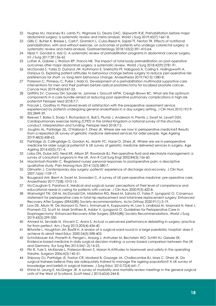- 22 Hughes MJ, Hackney RJ, Lamb PJ, Wigmore SJ, Deans DAC, Skipworth RJE. Prehabilitation before major abdominal surgery: a systematic review and meta-analysis. World J Surg 2019;43(7):1661-8.
- 23 Gillis C, Buhler K, Bresee L, Carli F, Gramlich L, Culos-Reed N, Sajobi TT, Fenton TR. Effects of nutritional prehabilitation, with and without exercise, on outcomes of patients who undergo colorectal surgery: a systematic review and meta-analysis. Gastroenterology 2018;155(2):391-410.e4.
- 24 Hijazi Y, Gondal U, Aziz O. A systematic review of prehabilitation programs in abdominal cancer surgery. Int J Surg 2017;39:156-62.
- 25 Luther A, Gabriel J, Watson RP, Francis NK. The impact of total body prehabilitation on post-operative outcomes after major abdominal surgery: a systematic review. World J Surg 2018;42(9):2781-91.
- 26 McDonald S, Yates D, Durrand JW, Kothmann E, Sniehotta FF, Habgood A, Colling K, Hollingsworth A, Danjoux G. Exploring patient attitudes to behaviour change before surgery to reduce peri-operative risk: preferences for short- vs. long-term behaviour change. Anaesthesia 2019;74(12):1580-8.
- 27 Paterson C, Primeau C, Pullar I, Nabi G. Development of a prehabilitation multimodal supportive care interventions for men and their partners before radical prostatectomy for localized prostate cancer. Cancer Nurs 2019;42(4):E47-53.
- 28 Griffiths SV, Conway DH, Sander M, Jammer I, Grocott MPW, Creagh-Brown BC. What are the optimum components in a care bundle aimed at reducing post-operative pulmonary complications in high-risk patients? Perioper Med 2018;7:7.
- 29 Fraczyk L, Godfrey H. Perceived levels of satisfaction with the preoperative assessment service experienced by patients undergoing general anaesthesia in a day surgery setting. J Clin Nurs 2010;19(19- 20):2849-59.
- 30 Reeves T, Bates S, Sharp T, Richardson K, Bali S, Plumb J, Anderson H, Prentis J, Swart M, Levett DZH. Cardiopulmonary exercise testing (CPET) in the United Kingdom-a national survey of the structure, conduct, interpretation and funding. Perioper Med 2018;7:2.
- 31 Joughin AL, Partridge JSL, O'Halloran T, Dhesi JK. Where are we now in perioperative medicine? Results from a repeated UK survey of geriatric medicine delivered services for older people. Age Ageing 2019;48(3):458-62.
- 32 Partridge JS, Collingridge G, Gordon AL, Martin FC, Harari D, Dhesi JK. Where are we in perioperative medicine for older surgical patients? A UK survey of geriatric medicine delivered services in surgery. Age Ageing 2014;43(5):721-4.
- 33 Lobo DN, Dube MG, Neal KR, Allison SP, Rowlands BJ. Peri-operative fluid and electrolyte management: a survey of consultant surgeons in the UK. Ann R Coll Surg Engl 2002;84(3):156-60.
- 34 Mackintosh-Franklin C. Registered nurses' personal responses to postoperative pain: a descriptive qualitative study. Pain Manag Nurs 2014;15(3):580-7.
- 35 Gilmartin J. Contemporary day surgery: patients' experience of discharge and recovery. J Clin Nurs 2007;16(6):1109-17.
- 36 Bougeard AM, Brent A, Swart M, Snowden C. A survey of UK peri-operative medicine: pre-operative care. Anaesthesia 2017;72(8):1010-15.
- 37 McCaughan E, Parahoo K. Medical and surgical nurses' perceptions of their level of competence and educational needs in caring for patients with cancer. J Clin Nurs 2000;9(3):420-8.
- 38 Wainwright TW, Gill M, McDonald DA, Middleton RG, Reed M, Sahota O, Yates P, Ljungqvist O. Consensus statement for perioperative care in total hip replacement and total knee replacement surgery: Enhanced Recovery After Surgery (ERAS(®)) Society recommendations. Acta Orthop 2020;91(1):3-19.
- 39 Low DE, Allum W, De Manzoni G, Ferri L, Immanuel A, Kuppusamy M, Law S, Lindblad M, Maynard N, Neal J, Pramesh CS, Scott M, Mark Smithers B, Addor V, Ljungqvist O. Guidelines for Perioperative Care in Esophagectomy: Enhanced Recovery After Surgery (ERAS(®)) Society Recommendations. World J Surg 2019;43(2):299-330.
- 40 Ahmed M, Sevdalis N, Vincent C, Arora S. Actual vs perceived performance debriefing in surgery: practice far from perfect. Am J Surg 2013;205(4):434-40.
- 41 Birtwistle L, Houghton JM, Rostill H. A review of a surgical ward round in a large paediatric hospital: does it achieve its aims? Med Educ 2000;34(5):398-403.
- 42 Schnitzbauer AA, Proneth A, Pengel L, Ansorg J, Anthuber M, Bechstein WO, Schlitt HJ, Geissler EK. Evidence-based medicine in daily surgical decision making: a survey-based comparison between the UK and Germany. Eur Surg Res 2015;54(1-2):14-23.
- 43 Flin R, Yule S, McKenzie L, Paterson-Brown S, Maran N.Attitudes to teamwork and safety in the operating theatre. Surgeon 2006;4(3):145-51.
- 44 Shipway DJ, Partridge JS, Foxton CR, Modarai B, Gossage JA, Challacombe BJ, Marx C, Dhesi JK. Do surgical trainees believe they are adequately trained to manage the ageing population? A UK survey of knowledge and beliefs in surgical trainees. J Surg Educ 2015;72(4):641-7.
- 45 Khine M, Leung E, McGregor JR. A survey of morbidity and mortality review meetings in the general surgical units of the West of Scotland. Scott Med J 2015;60(4):244-8.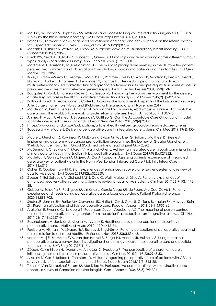- 46 McNulty W, Jordan S, Hopkinson NS. Attitudes and access to lung volume reduction surgery for COPD: a survey by the British Thoracic Society. BMJ Open Respir Res 2014;1(1):e000023.
- 47 Bethell GS, Leftwick P. Views of general practitioners and head and neck surgeons on the referral system for suspected cancer: a survey. J Laryngol Otol 2015;129(9):893-7.
- 48 Macaskill EJ, Thrush S, Walker EM, Dixon JM. Surgeons' views on multi-disciplinary breast meetings. Eur J Cancer 2006;42(7):905-8.
- 49 Lamb BW, Sevdalis N, Taylor C, Vincent C, Green JS. Multidisciplinary team working across different tumour types: analysis of a national survey. Ann Oncol 2012;23(5):1293-300.
- 50 Morement H, Harrison R, Taylor-Robinson SD. The multidisciplinary team meeting in the UK from the patients' perspective: comments and observations from cholangiocarcinoma patients and their families. Int J Gen Med 2017;10:305-10.
- 51 Kinley H, Czoski-Murray C, George S, McCabe C, Primrose J, Reilly C, Wood R, Nicolson P, Healy C, Read S, Norman J, Janke E, Alhameed H, Fernandez N, Thomas E. Extended scope of nursing practice: a multicentre randomised controlled trial of appropriately trained nurses and pre-registration house officers in pre-operative assessment in elective general surgery. Health Technol Assess 2001;5(20):1-87.
- 52 Baggaley A, Robb L, Paterson-Brown S, McGregor RJ. Improving the working environment for the delivery of safe surgical care in the UK: a qualitative cross-sectional analysis. BMJ Open 2019;9(1):e023476.
- 53 Balfour A, Burch J, Fecher-Jones I, Carter FJ. Exploring the fundamental aspects of the Enhanced Recovery After Surgery nurse's role. Nurs Stand (Published online ahead of print November 2019).
- 54 McClellan M, Kent J, Beales SJ, Cohen SI, Macdonnell M, Thoumi A, Abdulmalik M, Darzi A. Accountable care around the world: a framework to guide reform strategies. Health Aff 2014;33(9):1507-15.
- 55 Ahmed F, Mays N, Ahmed N, Bisognano M, Gottlieb G. Can the Accountable Care Organization model facilitate integrated care in England? J Health Serv Res Policy 2015;20(4):261-4.
- 56 <https://www.kingsfund.org.uk/publications/articles/health-wellbeing-boards-integrated-care-systems> 57 Bougeard AM, Moore J. Delivering perioperative care in integrated care systems. Clin Med 2019;19(6):450- 3.
- 58 Moore J, Merchant Z, Rowlinson K, McEwan K, Evison M, Faulkner G, Sultan J, McPhee JS, Steele J. Implementing a system-wide cancer prehabilitation programme: The journey of Greater Manchester's 'Prehab4cancer'. Eur J Surg Oncol (Published online ahead of print May 2020).
- 59 McDermott I, Checkland K, Moran V, Warwick-Giles L. Achieving integrated care through commissioning of primary care services in the English NHS: a qualitative analysis. BMJ Open 2019;9(4):e027622.
- 60 Mastellos N, Gunn L, Harris M, Majeed A, Car J, Pappas Y. Assessing patients' experience of integrated care: a survey of patient views in the North West London Integrated Care Pilot. Int J Integr Care 2014;14:e015.
- 61 Cohen R, Gooberman-Hill R. Staff experiences of enhanced recovery after surgery: systematic review of qualitative studies. BMJ Open 2019;9(2):e022259.
- 62 Sibbern T, Bull Sellevold V, Steindal SA(1), Dale C, Watt-Watson J, Dihle A. Patients' experiences of enhanced recovery after surgery: a systematic review of qualitative studies. J Clin Nurs 2017;26(9-10):1172- 88.
- 63 Gobbo M, Saldaña R, Rodríguez M, Jiménez J, García-Vega MI, de Pedro JM, Cea-Calvo L. Patients' experience and needs during perioperative care: a focus group study. Patient Prefer Adherence 2020;14:891-902.
- 64 Shafer JS, Jenkins BN, Fortier MA, Stevenson RS, Hikita N, Zuk J, Gold JI, Golianu B, Kaplan SH, Mayes L, Kain ZN. Parental satisfaction of child's perioperative care. Paediatr Anaesth 2018;28(11):955-62.
- 65 Arakelian E, Swenne CL, Lindberg S, Rudolfsson G, von Vogelsang AC. The meaning of person-centred care in the perioperative nursing context from the patient's perspective - an integrative review. J Clin Nurs 2017;26(17-18):2527-44.
- 66 Rosenbloom JM, Jackson J, Alegria M, Alvarez K. Healthcare provider perceptions of disparities in perioperative care. J Natl Med Assoc 2019;111(6):616-24.
- 67 Forsberg A, Vikman I, Wälivaara BM, Rattray J, Engström Å. Patients' perceptions of perioperative quality of care in relation to self-rated health. J Perianesth Nurs 2018;33(6):834-43.
- 68 van der Meij E, Bouwsma EVA, van den Heuvel B, Bonjer HJ, Anema JR, Huirne JAF. Using e-health in perioperative care: a survey study investigating shortcomings in current perioperative care and possible future solutions. BMC Surg 2017;17(1):61.
- 69 Sjöberg C, Amhliden H, Nygren JM, Arvidsson S, Svedberg P. The perspective of children on factors influencing their participation in perioperative care. J Clin Nurs 2015;24(19-20):2945-53.
- 70 Auckley D, Cox R, Bolden N, Thornton JD. Attitudes regarding perioperative care of patients with OSA: a survey study of four specialties in the United States. Sleep Breath 2015;19(1):315-25.
- 71 Turner K, Van Denkerkhof E, Lam M, Mackillop W. Perioperative care of patients with obstructive sleep apnea - a survey of Canadian anesthesiologists. Can J Anaesth 2006;53(3):299-304.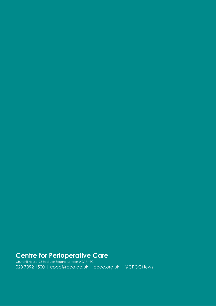## **Centre for Perioperative Care**

Churchill House, 35 Red Lion Square, London WC1R 4SG 020 7092 1500 | cpoc@rcoa.ac.uk | cpoc.org.uk | @CPOCNews